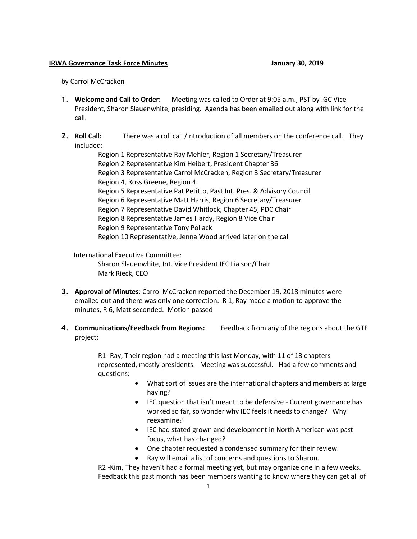## **IRWA Governance Task Force Minutes January 30, 2019**

by Carrol McCracken

- **1. Welcome and Call to Order:** Meeting was called to Order at 9:05 a.m., PST by IGC Vice President, Sharon Slauenwhite, presiding. Agenda has been emailed out along with link for the call.
- **2. Roll Call:** There was a roll call /introduction of all members on the conference call. They included:

Region 1 Representative Ray Mehler, Region 1 Secretary/Treasurer Region 2 Representative Kim Heibert, President Chapter 36 Region 3 Representative Carrol McCracken, Region 3 Secretary/Treasurer Region 4, Ross Greene, Region 4 Region 5 Representative Pat Petitto, Past Int. Pres. & Advisory Council Region 6 Representative Matt Harris, Region 6 Secretary/Treasurer Region 7 Representative David Whitlock, Chapter 45, PDC Chair Region 8 Representative James Hardy, Region 8 Vice Chair Region 9 Representative Tony Pollack Region 10 Representative, Jenna Wood arrived later on the call

International Executive Committee:

Sharon Slauenwhite, Int. Vice President IEC Liaison/Chair Mark Rieck, CEO

- **3. Approval of Minutes**: Carrol McCracken reported the December 19, 2018 minutes were emailed out and there was only one correction. R 1, Ray made a motion to approve the minutes, R 6, Matt seconded. Motion passed
- **4. Communications/Feedback from Regions:** Feedback from any of the regions about the GTF project:

R1- Ray, Their region had a meeting this last Monday, with 11 of 13 chapters represented, mostly presidents. Meeting was successful. Had a few comments and questions:

- What sort of issues are the international chapters and members at large having?
- IEC question that isn't meant to be defensive Current governance has worked so far, so wonder why IEC feels it needs to change? Why reexamine?
- IEC had stated grown and development in North American was past focus, what has changed?
- One chapter requested a condensed summary for their review.
- Ray will email a list of concerns and questions to Sharon.

R2 -Kim, They haven't had a formal meeting yet, but may organize one in a few weeks. Feedback this past month has been members wanting to know where they can get all of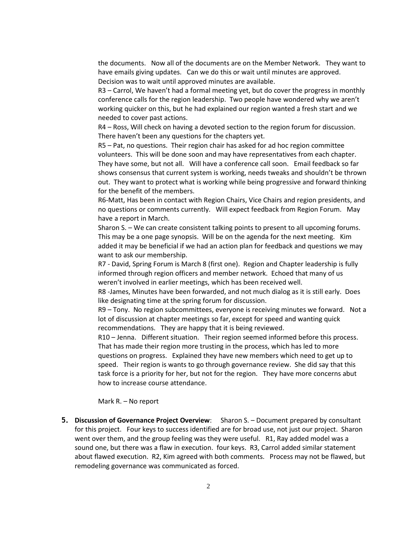the documents. Now all of the documents are on the Member Network. They want to have emails giving updates. Can we do this or wait until minutes are approved. Decision was to wait until approved minutes are available.

R3 – Carrol, We haven't had a formal meeting yet, but do cover the progress in monthly conference calls for the region leadership. Two people have wondered why we aren't working quicker on this, but he had explained our region wanted a fresh start and we needed to cover past actions.

R4 – Ross, Will check on having a devoted section to the region forum for discussion. There haven't been any questions for the chapters yet.

R5 – Pat, no questions. Their region chair has asked for ad hoc region committee volunteers. This will be done soon and may have representatives from each chapter. They have some, but not all. Will have a conference call soon. Email feedback so far shows consensus that current system is working, needs tweaks and shouldn't be thrown out. They want to protect what is working while being progressive and forward thinking for the benefit of the members.

R6-Matt, Has been in contact with Region Chairs, Vice Chairs and region presidents, and no questions or comments currently. Will expect feedback from Region Forum. May have a report in March.

Sharon S. – We can create consistent talking points to present to all upcoming forums. This may be a one page synopsis. Will be on the agenda for the next meeting. Kim added it may be beneficial if we had an action plan for feedback and questions we may want to ask our membership.

R7 - David, Spring Forum is March 8 (first one). Region and Chapter leadership is fully informed through region officers and member network. Echoed that many of us weren't involved in earlier meetings, which has been received well.

R8 -James, Minutes have been forwarded, and not much dialog as it is still early. Does like designating time at the spring forum for discussion.

R9 – Tony. No region subcommittees, everyone is receiving minutes we forward. Not a lot of discussion at chapter meetings so far, except for speed and wanting quick recommendations. They are happy that it is being reviewed.

R10 – Jenna. Different situation. Their region seemed informed before this process. That has made their region more trusting in the process, which has led to more questions on progress. Explained they have new members which need to get up to speed. Their region is wants to go through governance review. She did say that this task force is a priority for her, but not for the region. They have more concerns abut how to increase course attendance.

Mark R. – No report

**5. Discussion of Governance Project Overview**: Sharon S. – Document prepared by consultant for this project. Four keys to success identified are for broad use, not just our project. Sharon went over them, and the group feeling was they were useful. R1, Ray added model was a sound one, but there was a flaw in execution. four keys. R3, Carrol added similar statement about flawed execution. R2, Kim agreed with both comments. Process may not be flawed, but remodeling governance was communicated as forced.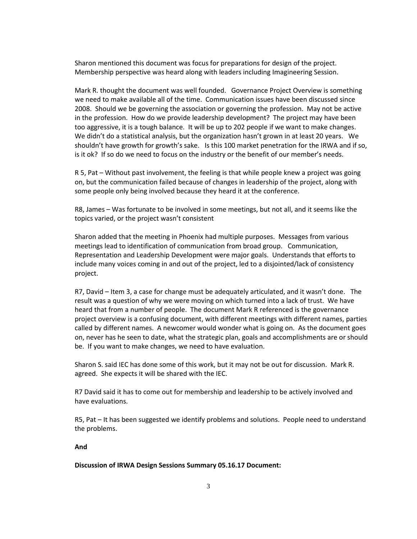Sharon mentioned this document was focus for preparations for design of the project. Membership perspective was heard along with leaders including Imagineering Session.

Mark R. thought the document was well founded. Governance Project Overview is something we need to make available all of the time. Communication issues have been discussed since 2008. Should we be governing the association or governing the profession. May not be active in the profession. How do we provide leadership development? The project may have been too aggressive, it is a tough balance. It will be up to 202 people if we want to make changes. We didn't do a statistical analysis, but the organization hasn't grown in at least 20 years. We shouldn't have growth for growth's sake. Is this 100 market penetration for the IRWA and if so, is it ok? If so do we need to focus on the industry or the benefit of our member's needs.

R 5, Pat – Without past involvement, the feeling is that while people knew a project was going on, but the communication failed because of changes in leadership of the project, along with some people only being involved because they heard it at the conference.

R8, James – Was fortunate to be involved in some meetings, but not all, and it seems like the topics varied, or the project wasn't consistent

Sharon added that the meeting in Phoenix had multiple purposes. Messages from various meetings lead to identification of communication from broad group. Communication, Representation and Leadership Development were major goals. Understands that efforts to include many voices coming in and out of the project, led to a disjointed/lack of consistency project.

R7, David – Item 3, a case for change must be adequately articulated, and it wasn't done. The result was a question of why we were moving on which turned into a lack of trust. We have heard that from a number of people. The document Mark R referenced is the governance project overview is a confusing document, with different meetings with different names, parties called by different names. A newcomer would wonder what is going on. As the document goes on, never has he seen to date, what the strategic plan, goals and accomplishments are or should be. If you want to make changes, we need to have evaluation.

Sharon S. said IEC has done some of this work, but it may not be out for discussion. Mark R. agreed. She expects it will be shared with the IEC.

R7 David said it has to come out for membership and leadership to be actively involved and have evaluations.

R5, Pat – It has been suggested we identify problems and solutions. People need to understand the problems.

## **And**

## **Discussion of IRWA Design Sessions Summary 05.16.17 Document:**